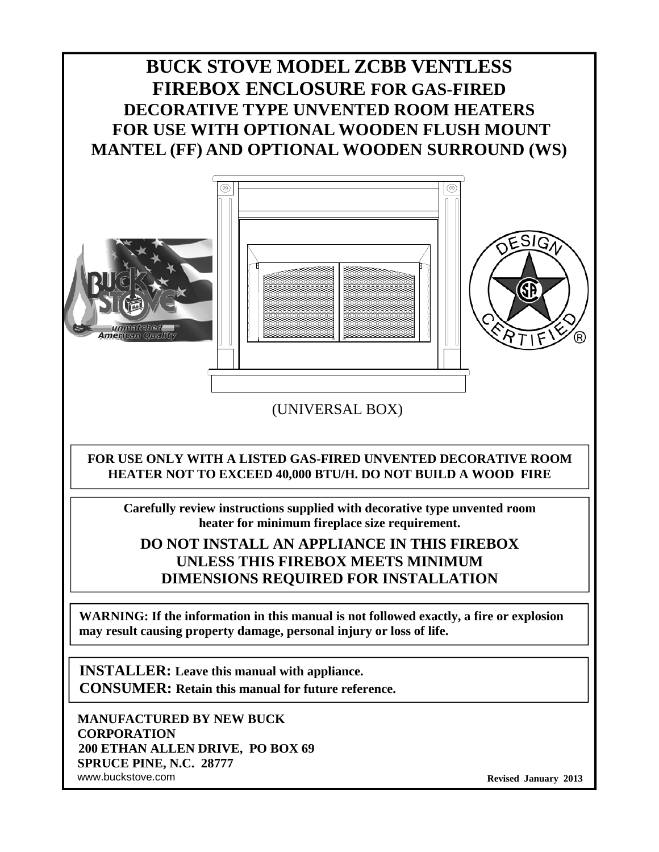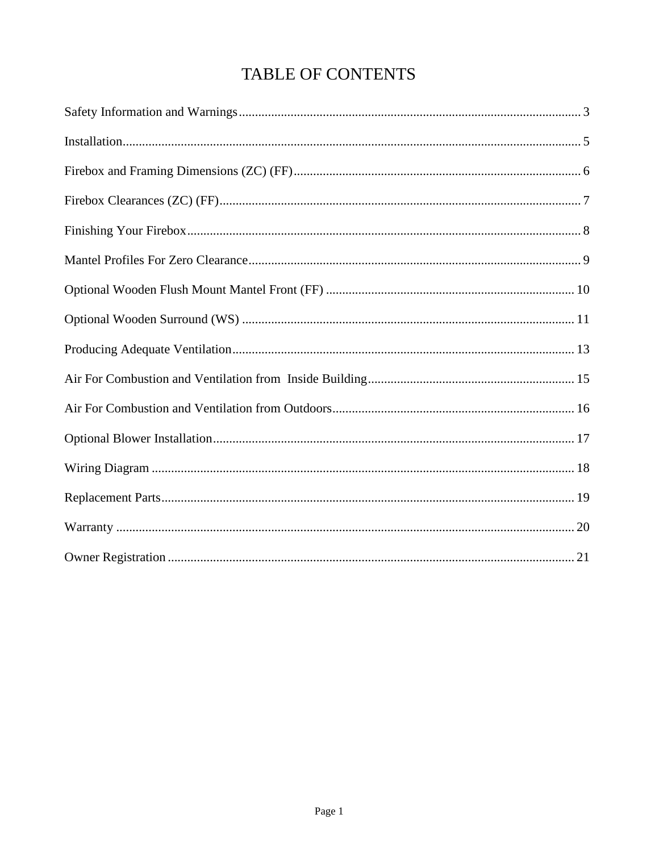# TABLE OF CONTENTS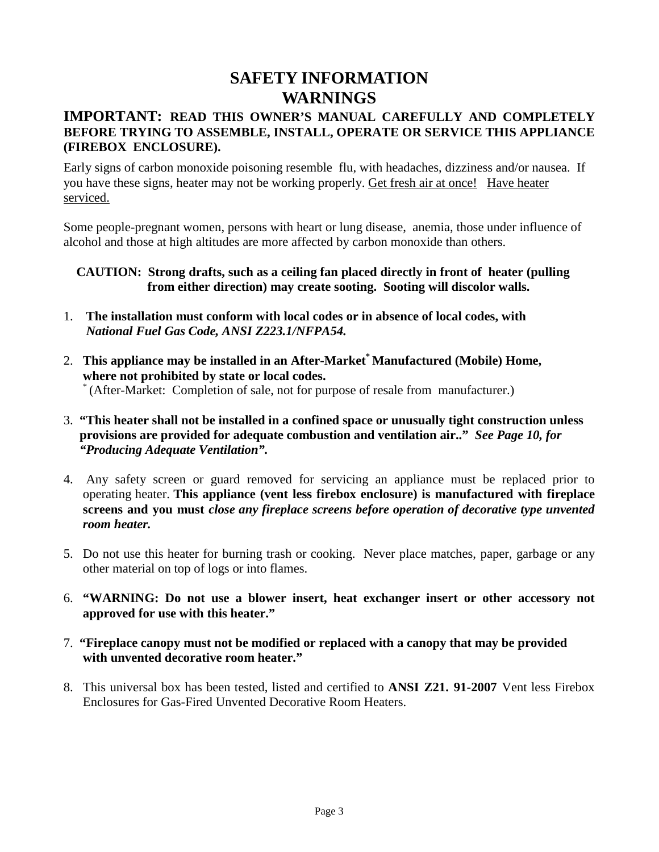## **SAFETY INFORMATION WARNINGS**

#### **IMPORTANT: READ THIS OWNER'S MANUAL CAREFULLY AND COMPLETELY BEFORE TRYING TO ASSEMBLE, INSTALL, OPERATE OR SERVICE THIS APPLIANCE (FIREBOX ENCLOSURE).**

Early signs of carbon monoxide poisoning resemble flu, with headaches, dizziness and/or nausea. If you have these signs, heater may not be working properly. Get fresh air at once! Have heater serviced.

Some people-pregnant women, persons with heart or lung disease, anemia, those under influence of alcohol and those at high altitudes are more affected by carbon monoxide than others.

#### **CAUTION: Strong drafts, such as a ceiling fan placed directly in front of heater (pulling from either direction) may create sooting. Sooting will discolor walls.**

- 1. **The installation must conform with local codes or in absence of local codes, with** *National Fuel Gas Code, ANSI Z223.1/NFPA54.*
- 2. **This appliance may be installed in an After-Market\* Manufactured (Mobile) Home, where not prohibited by state or local codes.** \* (After-Market: Completion of sale, not for purpose of resale from manufacturer.)
- 3. **"This heater shall not be installed in a confined space or unusually tight construction unless provisions are provided for adequate combustion and ventilation air.."** *See Page 10, for "Producing Adequate Ventilation".*
- 4. Any safety screen or guard removed for servicing an appliance must be replaced prior to operating heater. **This appliance (vent less firebox enclosure) is manufactured with fireplace screens and you must** *close any fireplace screens before operation of decorative type unvented room heater.*
- 5. Do not use this heater for burning trash or cooking. Never place matches, paper, garbage or any other material on top of logs or into flames.
- 6. **"WARNING: Do not use a blower insert, heat exchanger insert or other accessory not approved for use with this heater."**
- 7. **"Fireplace canopy must not be modified or replaced with a canopy that may be provided with unvented decorative room heater."**
- 8. This universal box has been tested, listed and certified to **ANSI Z21. 91-2007** Vent less Firebox Enclosures for Gas-Fired Unvented Decorative Room Heaters.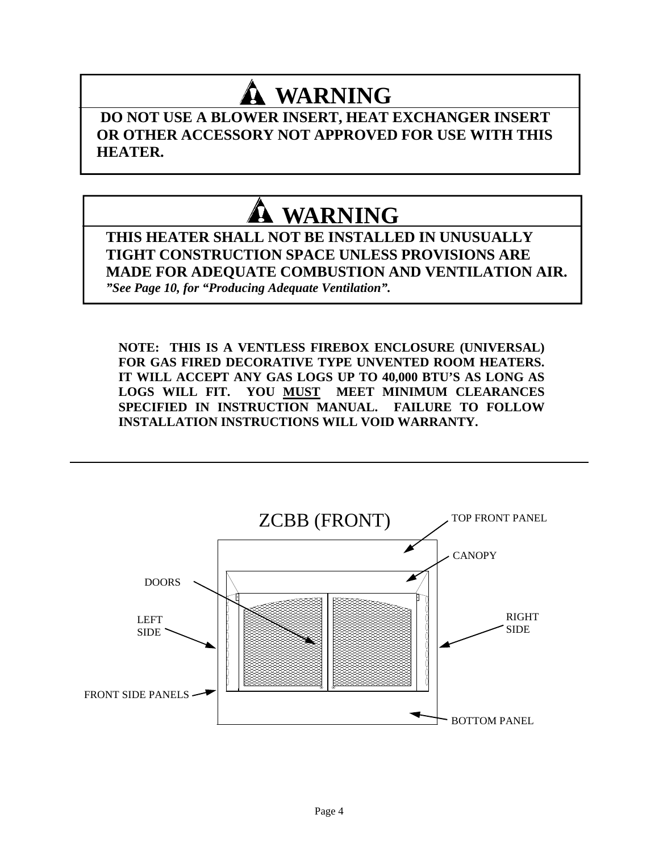# **WARNING**

**DO NOT USE A BLOWER INSERT, HEAT EXCHANGER INSERT OR OTHER ACCESSORY NOT APPROVED FOR USE WITH THIS HEATER.**

# **WARNING**

**THIS HEATER SHALL NOT BE INSTALLED IN UNUSUALLY TIGHT CONSTRUCTION SPACE UNLESS PROVISIONS ARE MADE FOR ADEQUATE COMBUSTION AND VENTILATION AIR.** *"See Page 10, for "Producing Adequate Ventilation".*

**NOTE: THIS IS A VENTLESS FIREBOX ENCLOSURE (UNIVERSAL) FOR GAS FIRED DECORATIVE TYPE UNVENTED ROOM HEATERS. IT WILL ACCEPT ANY GAS LOGS UP TO 40,000 BTU'S AS LONG AS LOGS WILL FIT. YOU MUST MEET MINIMUM CLEARANCES SPECIFIED IN INSTRUCTION MANUAL. FAILURE TO FOLLOW INSTALLATION INSTRUCTIONS WILL VOID WARRANTY.**

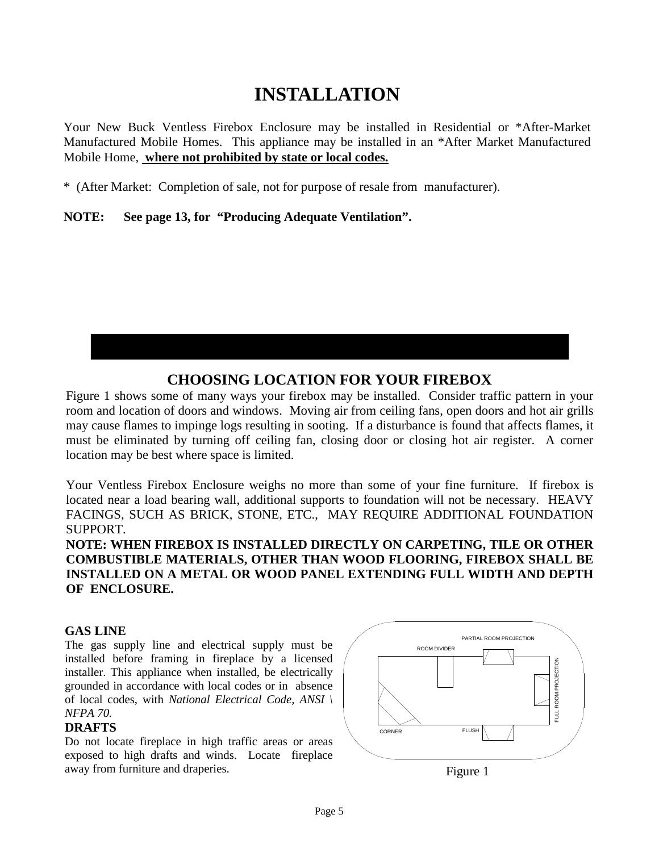# **INSTALLATION**

Your New Buck Ventless Firebox Enclosure may be installed in Residential or \*After-Market Manufactured Mobile Homes. This appliance may be installed in an \*After Market Manufactured Mobile Home, **where not prohibited by state or local codes.**

\* (After Market: Completion of sale, not for purpose of resale from manufacturer).

**NOTE: See page 13, for "Producing Adequate Ventilation".**

### **CHOOSING LOCATION FOR YOUR FIREBOX**

Figure 1 shows some of many ways your firebox may be installed. Consider traffic pattern in your room and location of doors and windows. Moving air from ceiling fans, open doors and hot air grills may cause flames to impinge logs resulting in sooting. If a disturbance is found that affects flames, it must be eliminated by turning off ceiling fan, closing door or closing hot air register. A corner location may be best where space is limited.

Your Ventless Firebox Enclosure weighs no more than some of your fine furniture. If firebox is located near a load bearing wall, additional supports to foundation will not be necessary. HEAVY FACINGS, SUCH AS BRICK, STONE, ETC., MAY REQUIRE ADDITIONAL FOUNDATION SUPPORT.

**NOTE: WHEN FIREBOX IS INSTALLED DIRECTLY ON CARPETING, TILE OR OTHER COMBUSTIBLE MATERIALS, OTHER THAN WOOD FLOORING, FIREBOX SHALL BE INSTALLED ON A METAL OR WOOD PANEL EXTENDING FULL WIDTH AND DEPTH OF ENCLOSURE.**

#### **GAS LINE**

The gas supply line and electrical supply must be installed before framing in fireplace by a licensed installer. This appliance when installed, be electrically grounded in accordance with local codes or in absence of local codes, with *National Electrical Code, ANSI \ NFPA 70.*

#### **DRAFTS**

Do not locate fireplace in high traffic areas or areas exposed to high drafts and winds. Locate fireplace away from furniture and draperies.

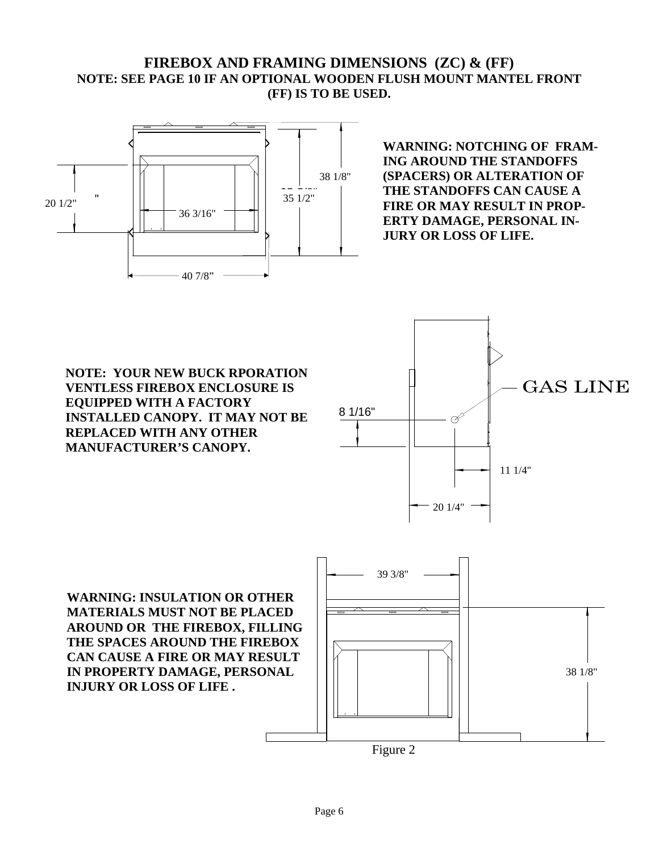#### **FIREBOX AND FRAMING DIMENSIONS (ZC) & (FF) NOTE: SEE PAGE 10 IF AN OPTIONAL WOODEN FLUSH MOUNT MANTEL FRONT (FF) IS TO BE USED.**



**WARNING: NOTCHING OF FRAM-ING AROUND THE STANDOFFS (SPACERS) OR ALTERATION OF THE STANDOFFS CAN CAUSE A FIRE OR MAY RESULT IN PROP-ERTY DAMAGE, PERSONAL IN-JURY OR LOSS OF LIFE.**

**NOTE: YOUR NEW BUCK RPORATION VENTLESS FIREBOX ENCLOSURE IS EQUIPPED WITH A FACTORY INSTALLED CANOPY. IT MAY NOT BE REPLACED WITH ANY OTHER MANUFACTURER'S CANOPY.**



**WARNING: INSULATION OR OTHER MATERIALS MUST NOT BE PLACED AROUND OR THE FIREBOX, FILLING THE SPACES AROUND THE FIREBOX CAN CAUSE A FIRE OR MAY RESULT IN PROPERTY DAMAGE, PERSONAL INJURY OR LOSS OF LIFE .**



Figure 2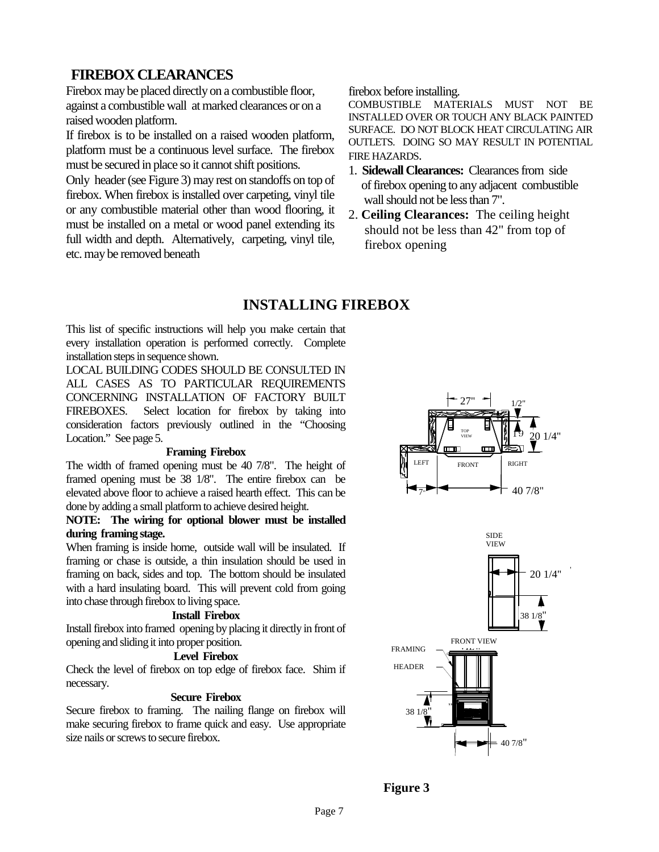#### **FIREBOX CLEARANCES**

Firebox may be placed directly on a combustible floor, against a combustible wall at marked clearances or on a raised wooden platform.

If firebox is to be installed on a raised wooden platform, platform must be a continuous level surface. The firebox must be secured in place so it cannot shift positions.

Only header (see Figure 3) may rest on standoffs on top of firebox. When firebox is installed over carpeting, vinyl tile or any combustible material other than wood flooring, it must be installed on a metal or wood panel extending its full width and depth. Alternatively, carpeting, vinyl tile, etc. may be removed beneath

firebox before installing.

COMBUSTIBLE MATERIALS MUST NOT BE INSTALLED OVER OR TOUCH ANY BLACK PAINTED SURFACE. DO NOT BLOCK HEAT CIRCULATING AIR OUTLETS. DOING SO MAY RESULT IN POTENTIAL FIRE HAZARDS.

- 1. **Sidewall Clearances:** Clearances from side of firebox opening to any adjacent combustible wall should not be less than 7".
- 2. **Ceiling Clearances:** The ceiling height should not be less than 42" from top of firebox opening

### **INSTALLING FIREBOX**

This list of specific instructions will help you make certain that every installation operation is performed correctly. Complete installation steps in sequence shown.

LOCAL BUILDING CODES SHOULD BE CONSULTED IN ALL CASES AS TO PARTICULAR REQUIREMENTS CONCERNING INSTALLATION OF FACTORY BUILT FIREBOXES. Select location for firebox by taking into consideration factors previously outlined in the "Choosing Location." See page 5.

#### **Framing Firebox**

The width of framed opening must be 40 7/8". The height of framed opening must be 38 1/8". The entire firebox can be elevated above floor to achieve a raised hearth effect. This can be done by adding a small platform to achieve desired height.

#### **NOTE: The wiring for optional blower must be installed during framing stage.**

When framing is inside home, outside wall will be insulated. If framing or chase is outside, a thin insulation should be used in framing on back, sides and top. The bottom should be insulated with a hard insulating board. This will prevent cold from going into chase through firebox to living space.

#### **Install Firebox**

Install firebox into framed opening by placing it directly in front of opening and sliding it into proper position.

#### **Level Firebox**

Check the level of firebox on top edge of firebox face. Shim if necessary.

#### **Secure Firebox**

Secure firebox to framing. The nailing flange on firebox will make securing firebox to frame quick and easy. Use appropriate size nails or screws to secure firebox.





**Figure 3**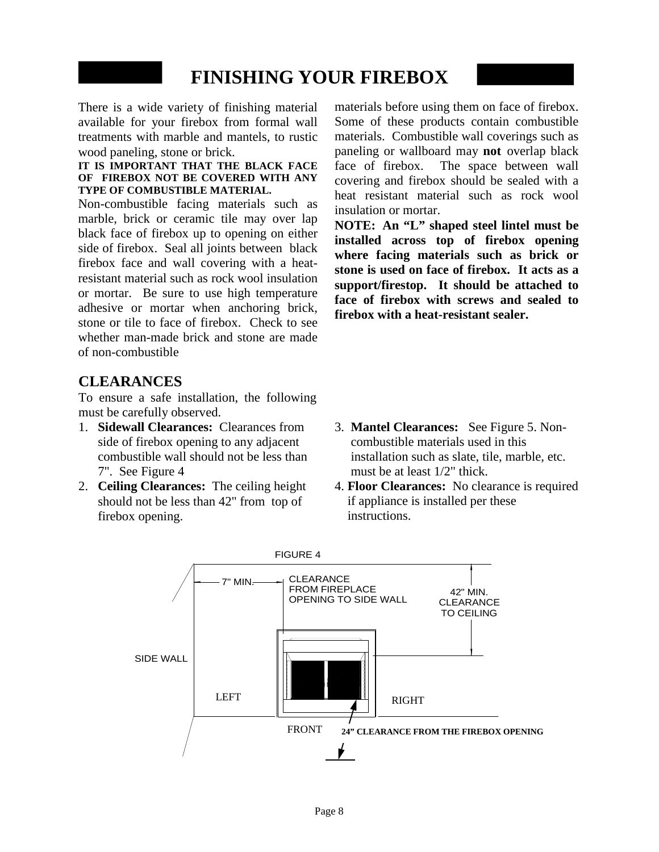# **FINISHING YOUR FIREBOX**

There is a wide variety of finishing material available for your firebox from formal wall treatments with marble and mantels, to rustic wood paneling, stone or brick.

#### **IT IS IMPORTANT THAT THE BLACK FACE OF FIREBOX NOT BE COVERED WITH ANY TYPE OF COMBUSTIBLE MATERIAL.**

Non-combustible facing materials such as marble, brick or ceramic tile may over lap black face of firebox up to opening on either side of firebox. Seal all joints between black firebox face and wall covering with a heatresistant material such as rock wool insulation or mortar. Be sure to use high temperature adhesive or mortar when anchoring brick, stone or tile to face of firebox. Check to see whether man-made brick and stone are made of non-combustible

### **CLEARANCES**

To ensure a safe installation, the following must be carefully observed.

- 1. **Sidewall Clearances:** Clearances from side of firebox opening to any adjacent combustible wall should not be less than 7". See Figure 4
- 2. **Ceiling Clearances:** The ceiling height should not be less than 42" from top of firebox opening.

materials before using them on face of firebox. Some of these products contain combustible materials. Combustible wall coverings such as paneling or wallboard may **not** overlap black face of firebox. The space between wall covering and firebox should be sealed with a heat resistant material such as rock wool insulation or mortar.

**NOTE: An "L" shaped steel lintel must be installed across top of firebox opening where facing materials such as brick or stone is used on face of firebox. It acts as a support/firestop. It should be attached to face of firebox with screws and sealed to firebox with a heat-resistant sealer.**

- 3. **Mantel Clearances:** See Figure 5. Noncombustible materials used in this installation such as slate, tile, marble, etc. must be at least 1/2" thick.
- 4. **Floor Clearances:** No clearance is required if appliance is installed per these instructions.

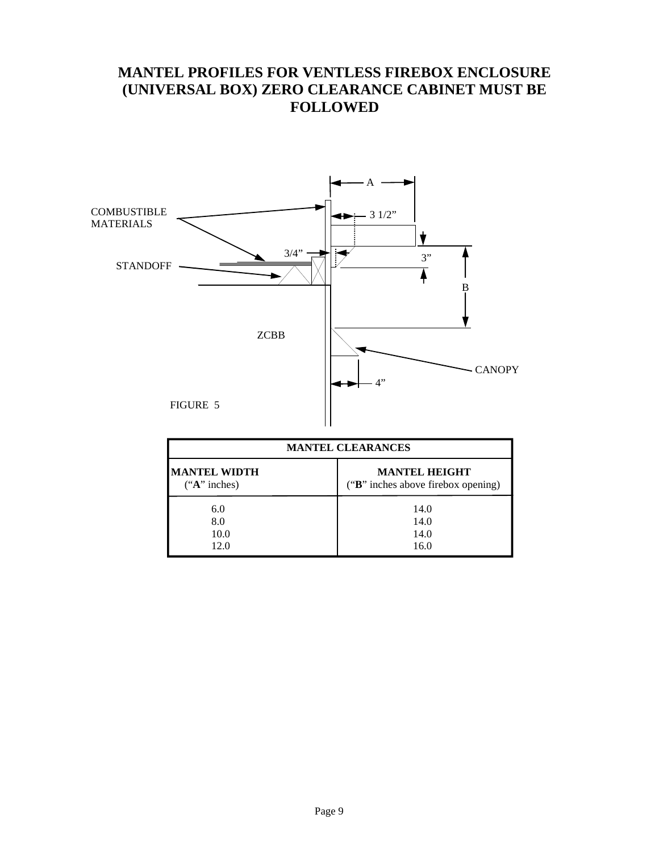### **MANTEL PROFILES FOR VENTLESS FIREBOX ENCLOSURE (UNIVERSAL BOX) ZERO CLEARANCE CABINET MUST BE FOLLOWED**



| <b>MANTEL CLEARANCES</b>              |                                                            |  |
|---------------------------------------|------------------------------------------------------------|--|
| <b>MANTEL WIDTH</b><br>$(*A"$ inches) | <b>MANTEL HEIGHT</b><br>("B" inches above firebox opening) |  |
| 6.0                                   | 14.0                                                       |  |
| 8.0                                   | 14.0                                                       |  |
| 10.0                                  | 14.0                                                       |  |
| 12.0                                  | 16.0                                                       |  |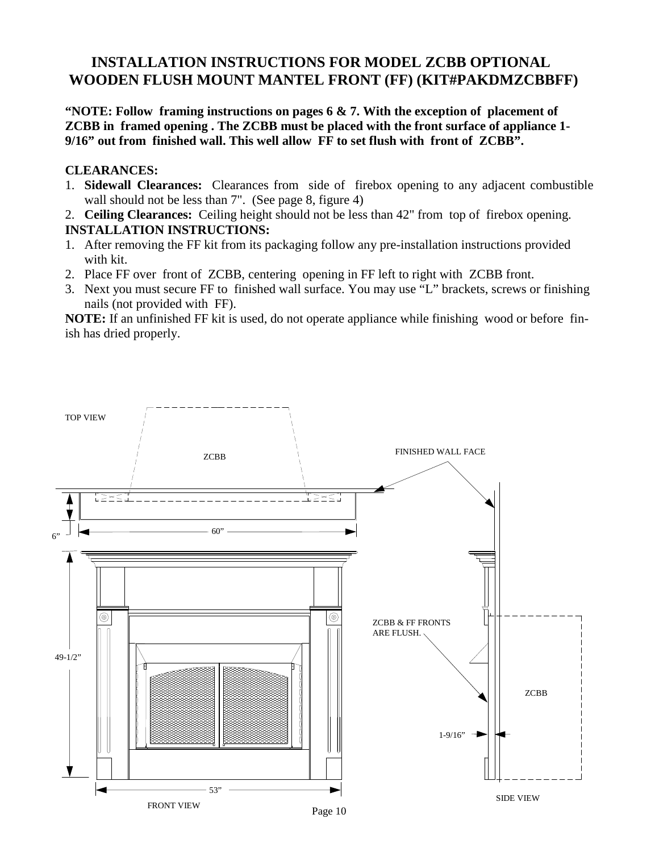### **INSTALLATION INSTRUCTIONS FOR MODEL ZCBB OPTIONAL WOODEN FLUSH MOUNT MANTEL FRONT (FF) (KIT#PAKDMZCBBFF)**

**"NOTE: Follow framing instructions on pages 6 & 7. With the exception of placement of ZCBB in framed opening . The ZCBB must be placed with the front surface of appliance 1- 9/16" out from finished wall. This well allow FF to set flush with front of ZCBB".**

#### **CLEARANCES:**

1. **Sidewall Clearances:** Clearances from side of firebox opening to any adjacent combustible wall should not be less than 7". (See page 8, figure 4)

2. **Ceiling Clearances:** Ceiling height should not be less than 42" from top of firebox opening. **INSTALLATION INSTRUCTIONS:**

- 1. After removing the FF kit from its packaging follow any pre-installation instructions provided with kit.
- 2. Place FF over front of ZCBB, centering opening in FF left to right with ZCBB front.
- 3. Next you must secure FF to finished wall surface. You may use "L" brackets, screws or finishing nails (not provided with FF).

**NOTE:** If an unfinished FF kit is used, do not operate appliance while finishing wood or before finish has dried properly.

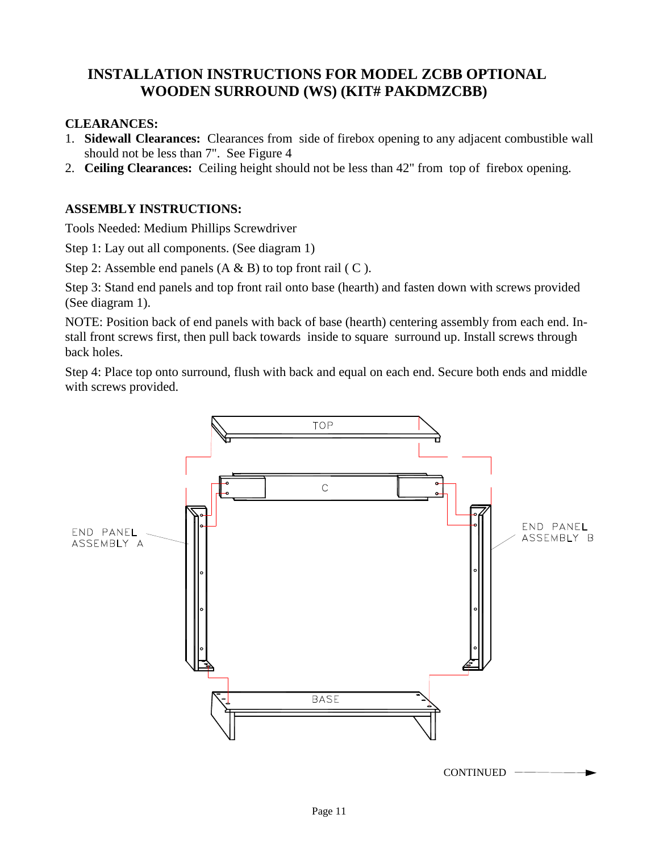### **INSTALLATION INSTRUCTIONS FOR MODEL ZCBB OPTIONAL WOODEN SURROUND (WS) (KIT# PAKDMZCBB)**

#### **CLEARANCES:**

- 1. **Sidewall Clearances:** Clearances from side of firebox opening to any adjacent combustible wall should not be less than 7". See Figure 4
- 2. **Ceiling Clearances:** Ceiling height should not be less than 42" from top of firebox opening.

#### **ASSEMBLY INSTRUCTIONS:**

Tools Needed: Medium Phillips Screwdriver

Step 1: Lay out all components. (See diagram 1)

Step 2: Assemble end panels  $(A \& B)$  to top front rail  $(C)$ .

Step 3: Stand end panels and top front rail onto base (hearth) and fasten down with screws provided (See diagram 1).

NOTE: Position back of end panels with back of base (hearth) centering assembly from each end. Install front screws first, then pull back towards inside to square surround up. Install screws through back holes.

Step 4: Place top onto surround, flush with back and equal on each end. Secure both ends and middle with screws provided.

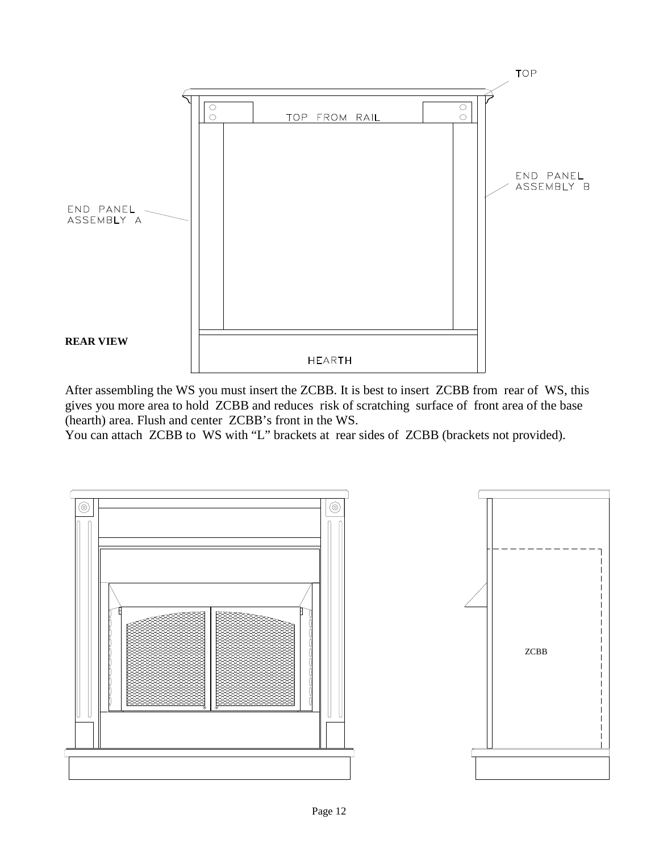

After assembling the WS you must insert the ZCBB. It is best to insert ZCBB from rear of WS, this gives you more area to hold ZCBB and reduces risk of scratching surface of front area of the base (hearth) area. Flush and center ZCBB's front in the WS.

You can attach ZCBB to WS with "L" brackets at rear sides of ZCBB (brackets not provided).

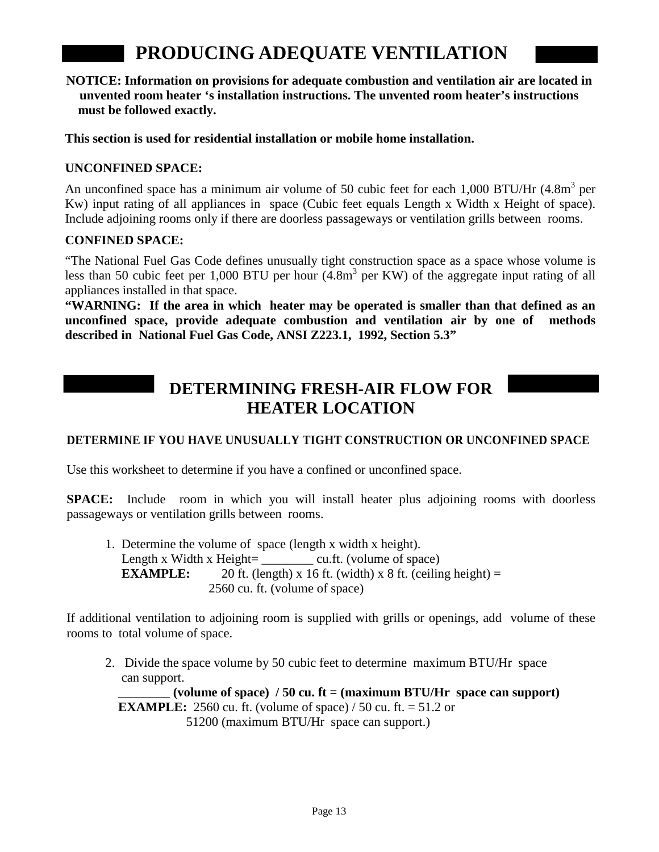# **PRODUCING ADEQUATE VENTILATION**

**NOTICE: Information on provisions for adequate combustion and ventilation air are located in unvented room heater 's installation instructions. The unvented room heater's instructions must be followed exactly.**

**This section is used for residential installation or mobile home installation.**

#### **UNCONFINED SPACE:**

An unconfined space has a minimum air volume of 50 cubic feet for each 1,000 BTU/Hr  $(4.8m<sup>3</sup>$  per Kw) input rating of all appliances in space (Cubic feet equals Length x Width x Height of space). Include adjoining rooms only if there are doorless passageways or ventilation grills between rooms.

#### **CONFINED SPACE:**

"The National Fuel Gas Code defines unusually tight construction space as a space whose volume is less than 50 cubic feet per 1,000 BTU per hour  $(4.8m<sup>3</sup>$  per KW) of the aggregate input rating of all appliances installed in that space.

**"WARNING: If the area in which heater may be operated is smaller than that defined as an unconfined space, provide adequate combustion and ventilation air by one of methods described in National Fuel Gas Code, ANSI Z223.1, 1992, Section 5.3"**

## **DETERMINING FRESH-AIR FLOW FOR HEATER LOCATION**

#### **DETERMINE IF YOU HAVE UNUSUALLY TIGHT CONSTRUCTION OR UNCONFINED SPACE**

Use this worksheet to determine if you have a confined or unconfined space.

**SPACE:** Include room in which you will install heater plus adjoining rooms with doorless passageways or ventilation grills between rooms.

1. Determine the volume of space (length x width x height). Length x Width x Height=  $\text{cu.ft.}$  (volume of space) **EXAMPLE:** 20 ft. (length) x 16 ft. (width) x 8 ft. (ceiling height) = 2560 cu. ft. (volume of space)

If additional ventilation to adjoining room is supplied with grills or openings, add volume of these rooms to total volume of space.

2. Divide the space volume by 50 cubic feet to determine maximum BTU/Hr space can support.

 $\sigma$  (volume of space) / 50 cu. ft = (maximum BTU/Hr space can support) **EXAMPLE:** 2560 cu. ft. (volume of space) / 50 cu. ft. = 51.2 or 51200 (maximum BTU/Hr space can support.)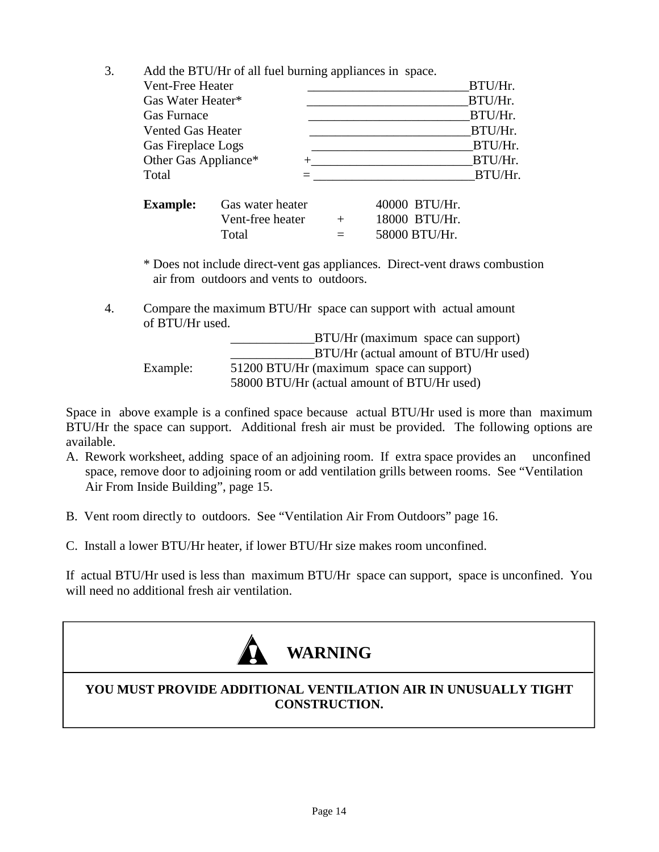3. Add the BTU/Hr of all fuel burning appliances in space.

|                          | $\cdots$ |         |
|--------------------------|----------|---------|
| Vent-Free Heater         |          | BTU/Hr. |
| Gas Water Heater*        |          | BTU/Hr. |
| <b>Gas Furnace</b>       |          | BTU/Hr. |
| <b>Vented Gas Heater</b> |          | BTU/Hr. |
| Gas Fireplace Logs       |          | BTU/Hr. |
| Other Gas Appliance*     |          | BTU/Hr. |
| Total                    |          | BTU/Hr. |
|                          |          |         |

| <b>Example:</b> | Gas water heater |          | 40000 BTU/Hr. |
|-----------------|------------------|----------|---------------|
|                 | Vent-free heater | $+$      | 18000 BTU/Hr. |
|                 | Total            | $\equiv$ | 58000 BTU/Hr. |

\* Does not include direct-vent gas appliances. Direct-vent draws combustion air from outdoors and vents to outdoors.

4. Compare the maximum BTU/Hr space can support with actual amount of BTU/Hr used.

|          | BTU/Hr (maximum space can support)          |
|----------|---------------------------------------------|
|          | BTU/Hr (actual amount of BTU/Hr used)       |
| Example: | 51200 BTU/Hr (maximum space can support)    |
|          | 58000 BTU/Hr (actual amount of BTU/Hr used) |

Space in above example is a confined space because actual BTU/Hr used is more than maximum BTU/Hr the space can support. Additional fresh air must be provided. The following options are available.

- A. Rework worksheet, adding space of an adjoining room. If extra space provides an unconfined space, remove door to adjoining room or add ventilation grills between rooms. See "Ventilation Air From Inside Building", page 15.
- B. Vent room directly to outdoors. See "Ventilation Air From Outdoors" page 16.
- C. Install a lower BTU/Hr heater, if lower BTU/Hr size makes room unconfined.

If actual BTU/Hr used is less than maximum BTU/Hr space can support, space is unconfined. You will need no additional fresh air ventilation.



### **YOU MUST PROVIDE ADDITIONAL VENTILATION AIR IN UNUSUALLY TIGHT CONSTRUCTION.**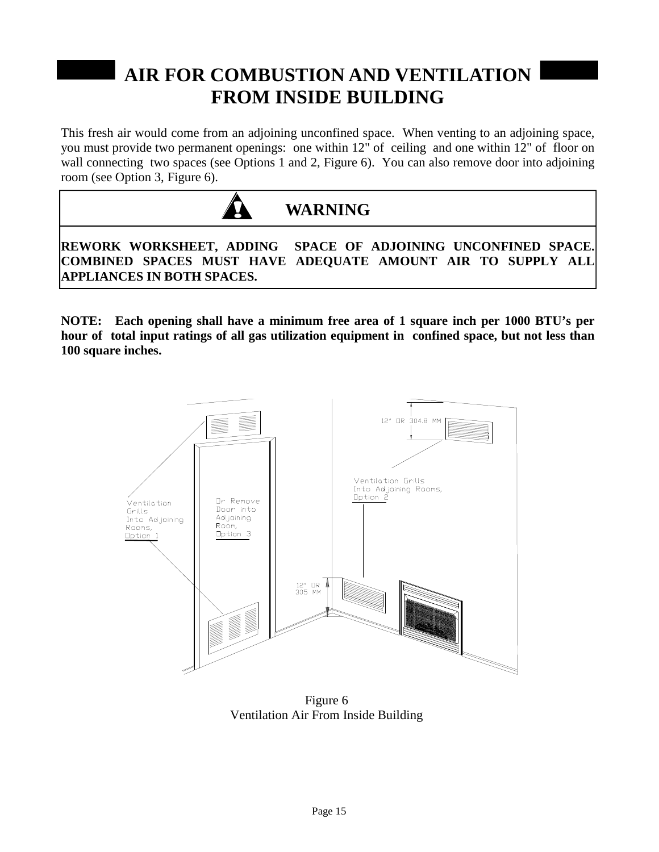# **AIR FOR COMBUSTION AND VENTILATION FROM INSIDE BUILDING**

This fresh air would come from an adjoining unconfined space. When venting to an adjoining space, you must provide two permanent openings: one within 12" of ceiling and one within 12" of floor on wall connecting two spaces (see Options 1 and 2, Figure 6). You can also remove door into adjoining room (see Option 3, Figure 6).



**REWORK WORKSHEET, ADDING SPACE OF ADJOINING UNCONFINED SPACE. COMBINED SPACES MUST HAVE ADEQUATE AMOUNT AIR TO SUPPLY ALL APPLIANCES IN BOTH SPACES.**

**NOTE: Each opening shall have a minimum free area of 1 square inch per 1000 BTU's per hour of total input ratings of all gas utilization equipment in confined space, but not less than 100 square inches.**



Figure 6 Ventilation Air From Inside Building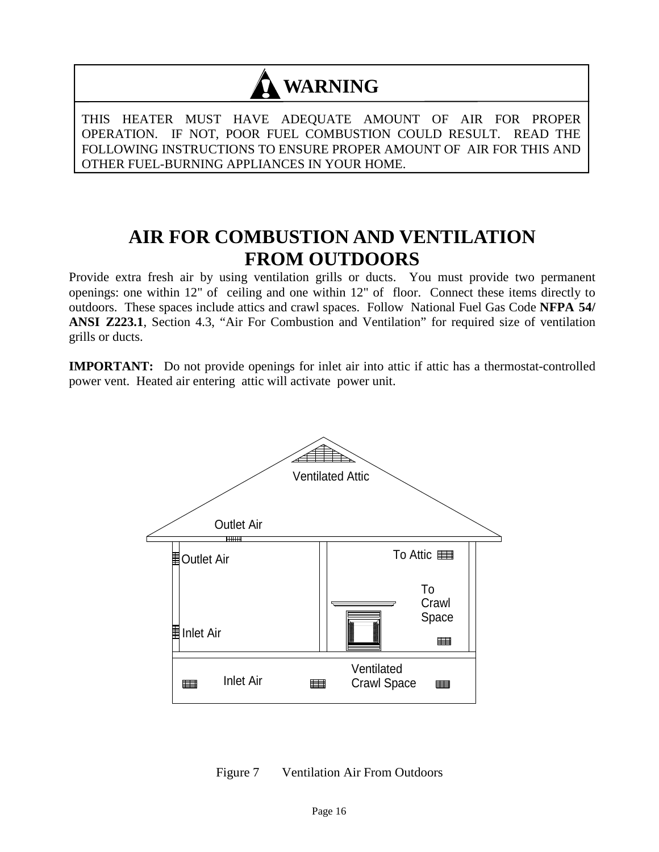# **WARNING**

THIS HEATER MUST HAVE ADEQUATE AMOUNT OF AIR FOR PROPER OPERATION. IF NOT, POOR FUEL COMBUSTION COULD RESULT. READ THE FOLLOWING INSTRUCTIONS TO ENSURE PROPER AMOUNT OF AIR FOR THIS AND OTHER FUEL-BURNING APPLIANCES IN YOUR HOME.

# **AIR FOR COMBUSTION AND VENTILATION FROM OUTDOORS**

Provide extra fresh air by using ventilation grills or ducts. You must provide two permanent openings: one within 12" of ceiling and one within 12" of floor. Connect these items directly to outdoors. These spaces include attics and crawl spaces. Follow National Fuel Gas Code **NFPA 54/ ANSI Z223.1**, Section 4.3, "Air For Combustion and Ventilation" for required size of ventilation grills or ducts.

**IMPORTANT:** Do not provide openings for inlet air into attic if attic has a thermostat-controlled power vent. Heated air entering attic will activate power unit.



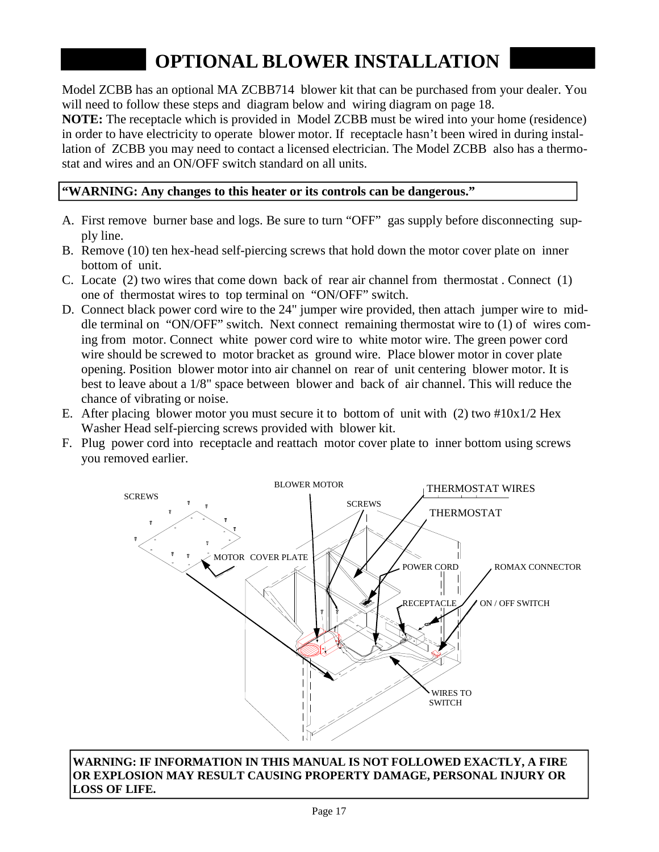# **OPTIONAL BLOWER INSTALLATION**

Model ZCBB has an optional MA ZCBB714 blower kit that can be purchased from your dealer. You will need to follow these steps and diagram below and wiring diagram on page 18.

**NOTE:** The receptacle which is provided in Model ZCBB must be wired into your home (residence) in order to have electricity to operate blower motor. If receptacle hasn't been wired in during installation of ZCBB you may need to contact a licensed electrician. The Model ZCBB also has a thermostat and wires and an ON/OFF switch standard on all units.

#### **"WARNING: Any changes to this heater or its controls can be dangerous."**

- A. First remove burner base and logs. Be sure to turn "OFF" gas supply before disconnecting supply line.
- B. Remove (10) ten hex-head self-piercing screws that hold down the motor cover plate on inner bottom of unit.
- C. Locate (2) two wires that come down back of rear air channel from thermostat . Connect (1) one of thermostat wires to top terminal on "ON/OFF" switch.
- D. Connect black power cord wire to the 24" jumper wire provided, then attach jumper wire to middle terminal on "ON/OFF" switch. Next connect remaining thermostat wire to (1) of wires coming from motor. Connect white power cord wire to white motor wire. The green power cord wire should be screwed to motor bracket as ground wire. Place blower motor in cover plate opening. Position blower motor into air channel on rear of unit centering blower motor. It is best to leave about a 1/8" space between blower and back of air channel. This will reduce the chance of vibrating or noise.
- E. After placing blower motor you must secure it to bottom of unit with (2) two #10x1/2 Hex Washer Head self-piercing screws provided with blower kit.
- F. Plug power cord into receptacle and reattach motor cover plate to inner bottom using screws you removed earlier.



**WARNING: IF INFORMATION IN THIS MANUAL IS NOT FOLLOWED EXACTLY, A FIRE OR EXPLOSION MAY RESULT CAUSING PROPERTY DAMAGE, PERSONAL INJURY OR LOSS OF LIFE.**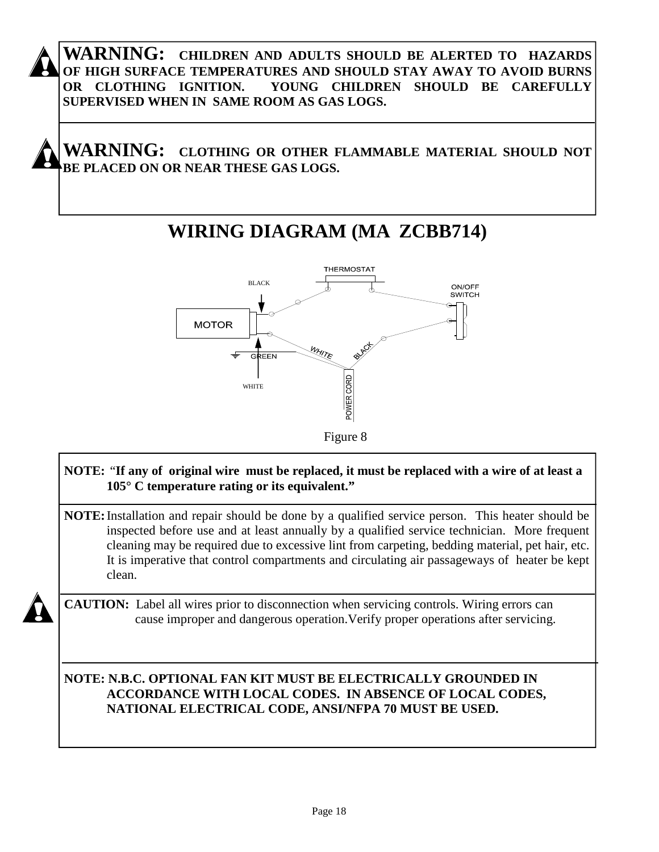

**WARNING: CHILDREN AND ADULTS SHOULD BE ALERTED TO HAZARDS OF HIGH SURFACE TEMPERATURES AND SHOULD STAY AWAY TO AVOID BURNS OR CLOTHING IGNITION. YOUNG CHILDREN SHOULD BE CAREFULLY SUPERVISED WHEN IN SAME ROOM AS GAS LOGS.**



# **WIRING DIAGRAM (MA ZCBB714)**



### **NOTE:** "**If any of original wire must be replaced, it must be replaced with a wire of at least a 105° C temperature rating or its equivalent."**

**NOTE:**Installation and repair should be done by a qualified service person. This heater should be inspected before use and at least annually by a qualified service technician. More frequent cleaning may be required due to excessive lint from carpeting, bedding material, pet hair, etc. It is imperative that control compartments and circulating air passageways of heater be kept clean.

**CAUTION:** Label all wires prior to disconnection when servicing controls. Wiring errors can cause improper and dangerous operation.Verify proper operations after servicing.

**NOTE: N.B.C. OPTIONAL FAN KIT MUST BE ELECTRICALLY GROUNDED IN ACCORDANCE WITH LOCAL CODES. IN ABSENCE OF LOCAL CODES, NATIONAL ELECTRICAL CODE, ANSI/NFPA 70 MUST BE USED.**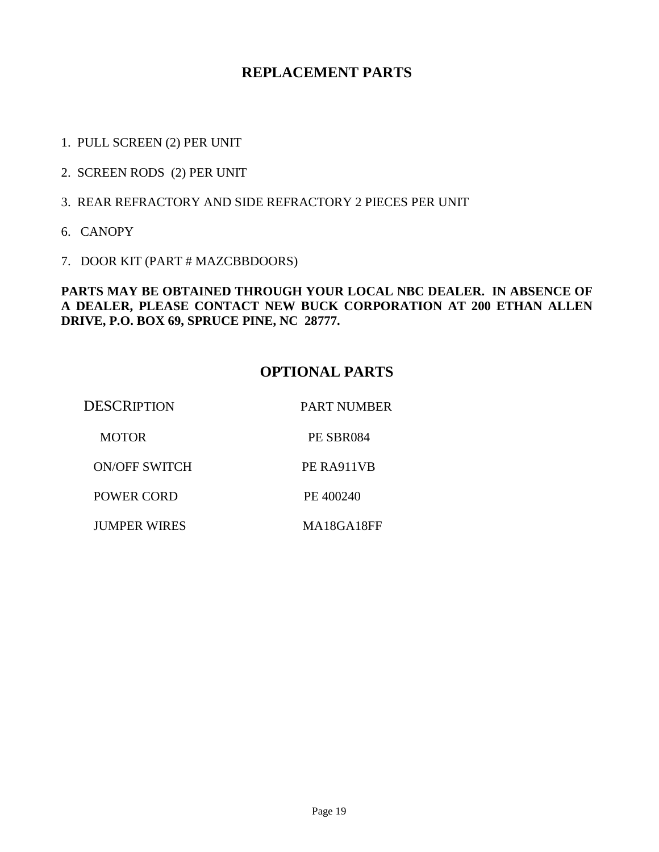### **REPLACEMENT PARTS**

- 1. PULL SCREEN (2) PER UNIT
- 2. SCREEN RODS (2) PER UNIT
- 3. REAR REFRACTORY AND SIDE REFRACTORY 2 PIECES PER UNIT
- 6. CANOPY
- 7. DOOR KIT (PART # MAZCBBDOORS)

#### **PARTS MAY BE OBTAINED THROUGH YOUR LOCAL NBC DEALER. IN ABSENCE OF A DEALER, PLEASE CONTACT NEW BUCK CORPORATION AT 200 ETHAN ALLEN DRIVE, P.O. BOX 69, SPRUCE PINE, NC 28777.**

### **OPTIONAL PARTS**

| <b>DESCRIPTION</b>   | <b>PART NUMBER</b> |
|----------------------|--------------------|
| <b>MOTOR</b>         | PE SBR084          |
| <b>ON/OFF SWITCH</b> | PE RA911VB         |
| POWER CORD           | PE 400240          |
| <b>JUMPER WIRES</b>  | MA18GA18FF         |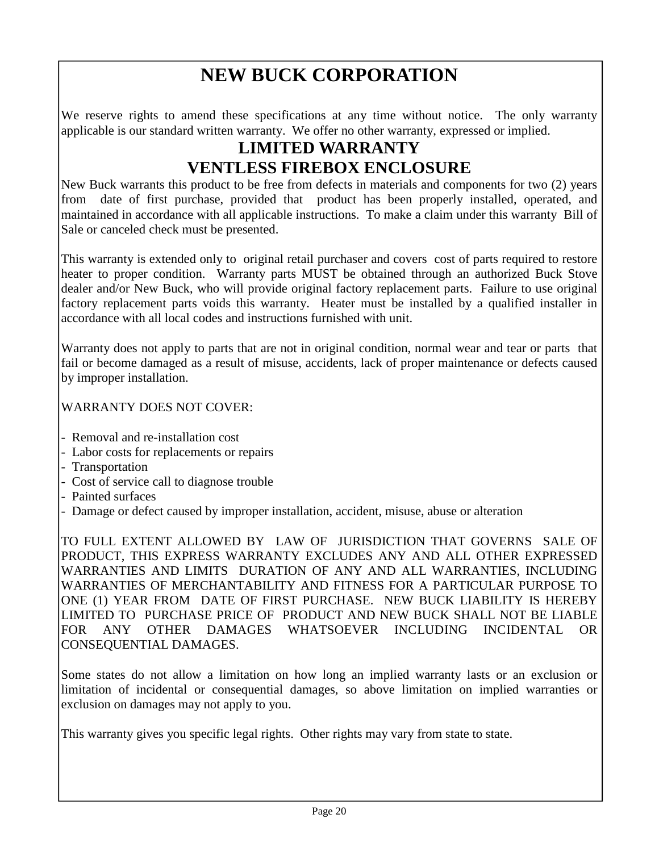# **NEW BUCK CORPORATION**

We reserve rights to amend these specifications at any time without notice. The only warranty applicable is our standard written warranty. We offer no other warranty, expressed or implied.

# **LIMITED WARRANTY VENTLESS FIREBOX ENCLOSURE**

New Buck warrants this product to be free from defects in materials and components for two (2) years from date of first purchase, provided that product has been properly installed, operated, and maintained in accordance with all applicable instructions. To make a claim under this warranty Bill of Sale or canceled check must be presented.

This warranty is extended only to original retail purchaser and covers cost of parts required to restore heater to proper condition. Warranty parts MUST be obtained through an authorized Buck Stove dealer and/or New Buck, who will provide original factory replacement parts. Failure to use original factory replacement parts voids this warranty. Heater must be installed by a qualified installer in accordance with all local codes and instructions furnished with unit.

Warranty does not apply to parts that are not in original condition, normal wear and tear or parts that fail or become damaged as a result of misuse, accidents, lack of proper maintenance or defects caused by improper installation.

WARRANTY DOES NOT COVER:

- Removal and re-installation cost
- Labor costs for replacements or repairs
- Transportation
- Cost of service call to diagnose trouble
- Painted surfaces
- Damage or defect caused by improper installation, accident, misuse, abuse or alteration

TO FULL EXTENT ALLOWED BY LAW OF JURISDICTION THAT GOVERNS SALE OF PRODUCT, THIS EXPRESS WARRANTY EXCLUDES ANY AND ALL OTHER EXPRESSED WARRANTIES AND LIMITS DURATION OF ANY AND ALL WARRANTIES, INCLUDING WARRANTIES OF MERCHANTABILITY AND FITNESS FOR A PARTICULAR PURPOSE TO ONE (1) YEAR FROM DATE OF FIRST PURCHASE. NEW BUCK LIABILITY IS HEREBY LIMITED TO PURCHASE PRICE OF PRODUCT AND NEW BUCK SHALL NOT BE LIABLE FOR ANY OTHER DAMAGES WHATSOEVER INCLUDING INCIDENTAL OR CONSEQUENTIAL DAMAGES.

Some states do not allow a limitation on how long an implied warranty lasts or an exclusion or limitation of incidental or consequential damages, so above limitation on implied warranties or exclusion on damages may not apply to you.

This warranty gives you specific legal rights. Other rights may vary from state to state.